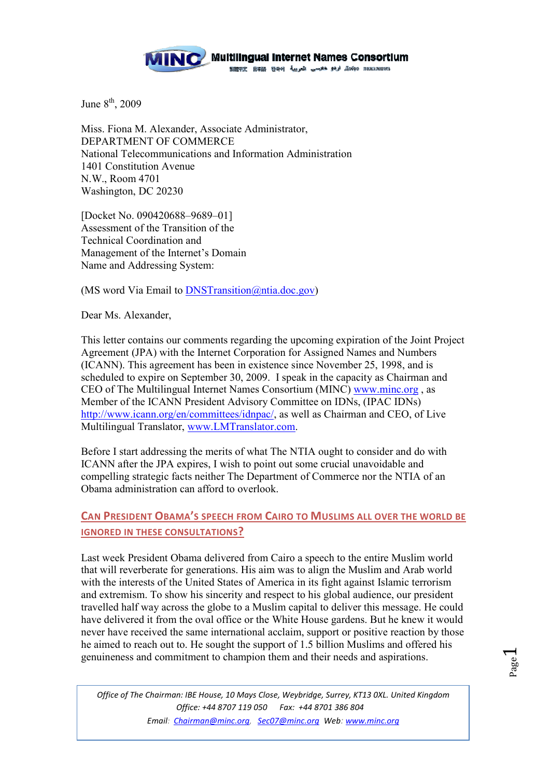

June  $8<sup>th</sup>$ , 2009

Miss. Fiona M. Alexander, Associate Administrator, DEPARTMENT OF COMMERCE National Telecommunications and Information Administration 1401 Constitution Avenue N.W., Room 4701 Washington, DC 20230

[Docket No. 090420688–9689–01] Assessment of the Transition of the Technical Coordination and Management of the Internet's Domain Name and Addressing System:

(MS word Via Email to DNSTransition@ntia.doc.gov)

Dear Ms. Alexander,

This letter contains our comments regarding the upcoming expiration of the Joint Project Agreement (JPA) with the Internet Corporation for Assigned Names and Numbers (ICANN). This agreement has been in existence since November 25, 1998, and is scheduled to expire on September 30, 2009. I speak in the capacity as Chairman and CEO of The Multilingual Internet Names Consortium (MINC) www.minc.org , as Member of the ICANN President Advisory Committee on IDNs, (IPAC IDNs) http://www.icann.org/en/committees/idnpac/, as well as Chairman and CEO, of Live Multilingual Translator, www.LMTranslator.com.

Before I start addressing the merits of what The NTIA ought to consider and do with ICANN after the JPA expires, I wish to point out some crucial unavoidable and compelling strategic facts neither The Department of Commerce nor the NTIA of an Obama administration can afford to overlook.

# **CAN PRESIDENT OBAMA'S SPEECH FROM CAIRO TO MUSLIMS ALL OVER THE WORLD BE IGNORED IN THESE CONSULTATIONS?**

Last week President Obama delivered from Cairo a speech to the entire Muslim world that will reverberate for generations. His aim was to align the Muslim and Arab world with the interests of the United States of America in its fight against Islamic terrorism and extremism. To show his sincerity and respect to his global audience, our president travelled half way across the globe to a Muslim capital to deliver this message. He could have delivered it from the oval office or the White House gardens. But he knew it would never have received the same international acclaim, support or positive reaction by those he aimed to reach out to. He sought the support of 1.5 billion Muslims and offered his genuineness and commitment to champion them and their needs and aspirations.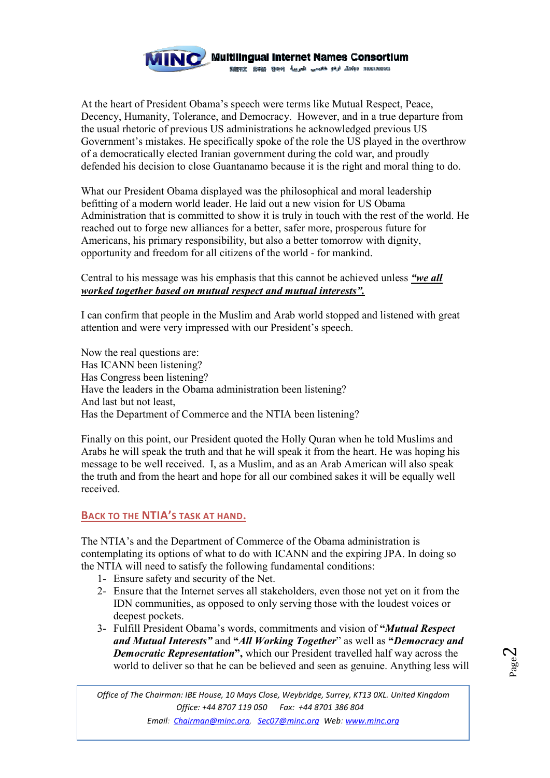

At the heart of President Obama's speech were terms like Mutual Respect, Peace, Decency, Humanity, Tolerance, and Democracy. However, and in a true departure from the usual rhetoric of previous US administrations he acknowledged previous US Government's mistakes. He specifically spoke of the role the US played in the overthrow of a democratically elected Iranian government during the cold war, and proudly defended his decision to close Guantanamo because it is the right and moral thing to do.

What our President Obama displayed was the philosophical and moral leadership befitting of a modern world leader. He laid out a new vision for US Obama Administration that is committed to show it is truly in touch with the rest of the world. He reached out to forge new alliances for a better, safer more, prosperous future for Americans, his primary responsibility, but also a better tomorrow with dignity, opportunity and freedom for all citizens of the world - for mankind.

## Central to his message was his emphasis that this cannot be achieved unless *"we all worked together based on mutual respect and mutual interests".*

I can confirm that people in the Muslim and Arab world stopped and listened with great attention and were very impressed with our President's speech.

Now the real questions are: Has ICANN been listening? Has Congress been listening? Have the leaders in the Obama administration been listening? And last but not least, Has the Department of Commerce and the NTIA been listening?

Finally on this point, our President quoted the Holly Quran when he told Muslims and Arabs he will speak the truth and that he will speak it from the heart. He was hoping his message to be well received. I, as a Muslim, and as an Arab American will also speak the truth and from the heart and hope for all our combined sakes it will be equally well received.

## **BACK TO THE NTIA'S TASK AT HAND.**

The NTIA's and the Department of Commerce of the Obama administration is contemplating its options of what to do with ICANN and the expiring JPA. In doing so the NTIA will need to satisfy the following fundamental conditions:

- 1- Ensure safety and security of the Net.
- 2- Ensure that the Internet serves all stakeholders, even those not yet on it from the IDN communities, as opposed to only serving those with the loudest voices or deepest pockets.
- 3- Fulfill President Obama's words, commitments and vision of **"***Mutual Respect and Mutual Interests"* and **"***All Working Together*" as well as **"***Democracy and Democratic Representation***",** which our President travelled half way across the world to deliver so that he can be believed and seen as genuine. Anything less will

 $\epsilon^2$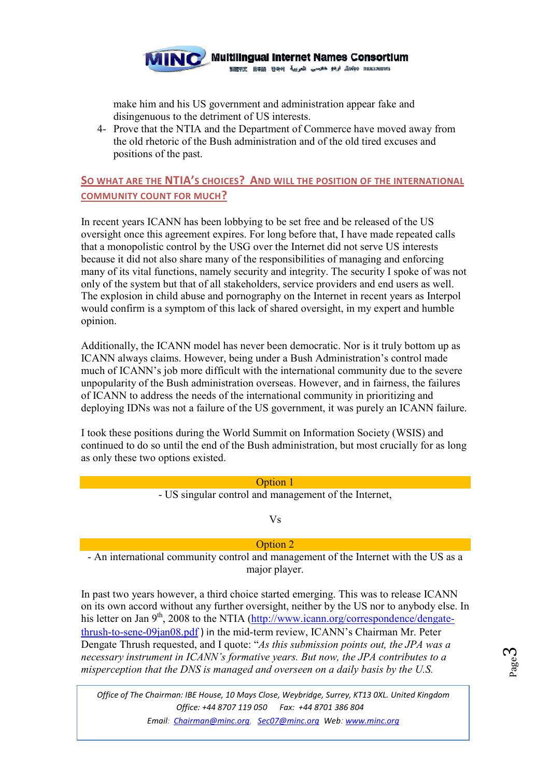

make him and his US government and administration appear fake and disingenuous to the detriment of US interests.

4- Prove that the NTIA and the Department of Commerce have moved away from the old rhetoric of the Bush administration and of the old tired excuses and positions of the past.

# **SO WHAT ARE THE NTIA'S CHOICES? AND WILL THE POSITION OF THE INTERNATIONAL COMMUNITY COUNT FOR MUCH?**

In recent years ICANN has been lobbying to be set free and be released of the US oversight once this agreement expires. For long before that, I have made repeated calls that a monopolistic control by the USG over the Internet did not serve US interests because it did not also share many of the responsibilities of managing and enforcing many of its vital functions, namely security and integrity. The security I spoke of was not only of the system but that of all stakeholders, service providers and end users as well. The explosion in child abuse and pornography on the Internet in recent years as Interpol would confirm is a symptom of this lack of shared oversight, in my expert and humble opinion.

Additionally, the ICANN model has never been democratic. Nor is it truly bottom up as ICANN always claims. However, being under a Bush Administration's control made much of ICANN's job more difficult with the international community due to the severe unpopularity of the Bush administration overseas. However, and in fairness, the failures of ICANN to address the needs of the international community in prioritizing and deploying IDNs was not a failure of the US government, it was purely an ICANN failure.

I took these positions during the World Summit on Information Society (WSIS) and continued to do so until the end of the Bush administration, but most crucially for as long as only these two options existed.

# Option 1 - US singular control and management of the Internet, Vs Option 2

- An international community control and management of the Internet with the US as a major player.

In past two years however, a third choice started emerging. This was to release ICANN on its own accord without any further oversight, neither by the US nor to anybody else. In his letter on Jan  $9<sup>th</sup>$ , 2008 to the NTIA (http://www.icann.org/correspondence/dengatethrush-to-sene-09jan08.pdf ) in the mid-term review, ICANN's Chairman Mr. Peter Dengate Thrush requested, and I quote: "*As this submission points out, the JPA was a*  necessary instrument in ICANN's formative years. But now, the JPA contributes to a *misperception that the DNS is managed and overseen on a daily basis by the U.S.* 

Page<br>3

*Office of The Chairman: IBE House, 10 Mays Close, Weybridge, Surrey, KT13 0XL. United Kingdom Office: +44 8707 119 050 Fax: +44 8701 386 804* 

*Email: Chairman@minc.org, Sec07@minc.org Web: www.minc.org*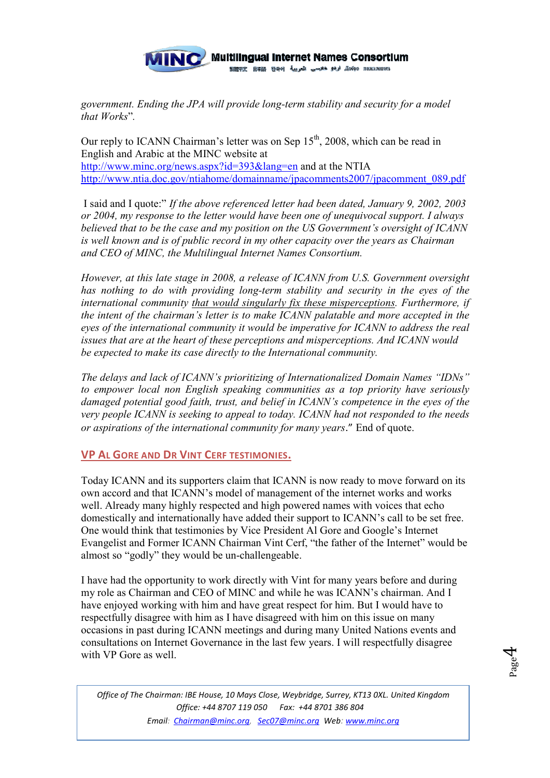

*government. Ending the JPA will provide long-term stability and security for a model that Works*"*.*

Our reply to ICANN Chairman's letter was on Sep  $15<sup>th</sup>$ , 2008, which can be read in English and Arabic at the MINC website at http://www.minc.org/news.aspx?id=393&lang=en and at the NTIA http://www.ntia.doc.gov/ntiahome/domainname/jpacomments2007/jpacomment\_089.pdf

 I said and I quote:" *If the above referenced letter had been dated, January 9, 2002, 2003 or 2004, my response to the letter would have been one of unequivocal support. I always believed that to be the case and my position on the US Government's oversight of ICANN is well known and is of public record in my other capacity over the years as Chairman*  and CEO of MINC, the Multilingual Internet Names Consortium.

*However, at this late stage in 2008, a release of ICANN from U.S. Government oversight has nothing to do with providing long-term stability and security in the eyes of the international community that would singularly fix these misperceptions. Furthermore, if the intent of the chairman's letter is to make ICANN palatable and more accepted in the eyes of the international community it would be imperative for ICANN to address the real issues that are at the heart of these perceptions and misperceptions. And ICANN would be expected to make its case directly to the International community.* 

*The delays and lack of ICANN's prioritizing of Internationalized Domain Names "IDNs" to empower local non English speaking communities as a top priority have seriously damaged potential good faith, trust, and belief in ICANN's competence in the eyes of the very people ICANN is seeking to appeal to today. ICANN had not responded to the needs or aspirations of the international community for many years*." End of quote.

## **VP AL GORE AND DR VINT CERF TESTIMONIES.**

Today ICANN and its supporters claim that ICANN is now ready to move forward on its own accord and that ICANN's model of management of the internet works and works well. Already many highly respected and high powered names with voices that echo domestically and internationally have added their support to ICANN's call to be set free. One would think that testimonies by Vice President Al Gore and Google's Internet Evangelist and Former ICANN Chairman Vint Cerf, "the father of the Internet" would be almost so "godly" they would be un-challengeable.

I have had the opportunity to work directly with Vint for many years before and during my role as Chairman and CEO of MINC and while he was ICANN's chairman. And I have enjoyed working with him and have great respect for him. But I would have to respectfully disagree with him as I have disagreed with him on this issue on many occasions in past during ICANN meetings and during many United Nations events and consultations on Internet Governance in the last few years. I will respectfully disagree with VP Gore as well.

*Office of The Chairman: IBE House, 10 Mays Close, Weybridge, Surrey, KT13 0XL. United Kingdom Office: +44 8707 119 050 Fax: +44 8701 386 804 Email: Chairman@minc.org, Sec07@minc.org Web: www.minc.org*

 $P_{\rm age}$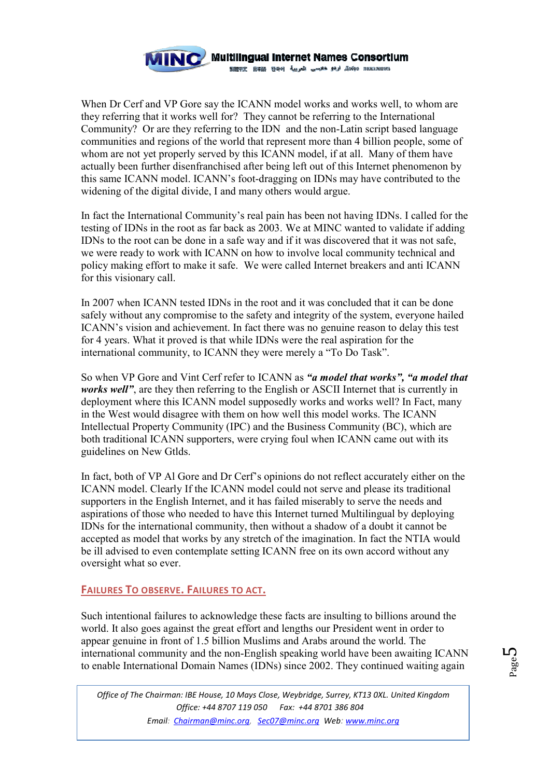

When Dr Cerf and VP Gore say the ICANN model works and works well, to whom are they referring that it works well for? They cannot be referring to the International Community? Or are they referring to the IDN and the non-Latin script based language communities and regions of the world that represent more than 4 billion people, some of whom are not yet properly served by this ICANN model, if at all. Many of them have actually been further disenfranchised after being left out of this Internet phenomenon by this same ICANN model. ICANN's foot-dragging on IDNs may have contributed to the widening of the digital divide, I and many others would argue.

In fact the International Community's real pain has been not having IDNs. I called for the testing of IDNs in the root as far back as 2003. We at MINC wanted to validate if adding IDNs to the root can be done in a safe way and if it was discovered that it was not safe, we were ready to work with ICANN on how to involve local community technical and policy making effort to make it safe. We were called Internet breakers and anti ICANN for this visionary call.

In 2007 when ICANN tested IDNs in the root and it was concluded that it can be done safely without any compromise to the safety and integrity of the system, everyone hailed ICANN's vision and achievement. In fact there was no genuine reason to delay this test for 4 years. What it proved is that while IDNs were the real aspiration for the international community, to ICANN they were merely a "To Do Task".

So when VP Gore and Vint Cerf refer to ICANN as *"a model that works", "a model that works well*", are they then referring to the English or ASCII Internet that is currently in deployment where this ICANN model supposedly works and works well? In Fact, many in the West would disagree with them on how well this model works. The ICANN Intellectual Property Community (IPC) and the Business Community (BC), which are both traditional ICANN supporters, were crying foul when ICANN came out with its guidelines on New Gtlds.

In fact, both of VP Al Gore and Dr Cerf's opinions do not reflect accurately either on the ICANN model. Clearly If the ICANN model could not serve and please its traditional supporters in the English Internet, and it has failed miserably to serve the needs and aspirations of those who needed to have this Internet turned Multilingual by deploying IDNs for the international community, then without a shadow of a doubt it cannot be accepted as model that works by any stretch of the imagination. In fact the NTIA would be ill advised to even contemplate setting ICANN free on its own accord without any oversight what so ever.

## **FAILURES TO OBSERVE. FAILURES TO ACT.**

Such intentional failures to acknowledge these facts are insulting to billions around the world. It also goes against the great effort and lengths our President went in order to appear genuine in front of 1.5 billion Muslims and Arabs around the world. The international community and the non-English speaking world have been awaiting ICANN to enable International Domain Names (IDNs) since 2002. They continued waiting again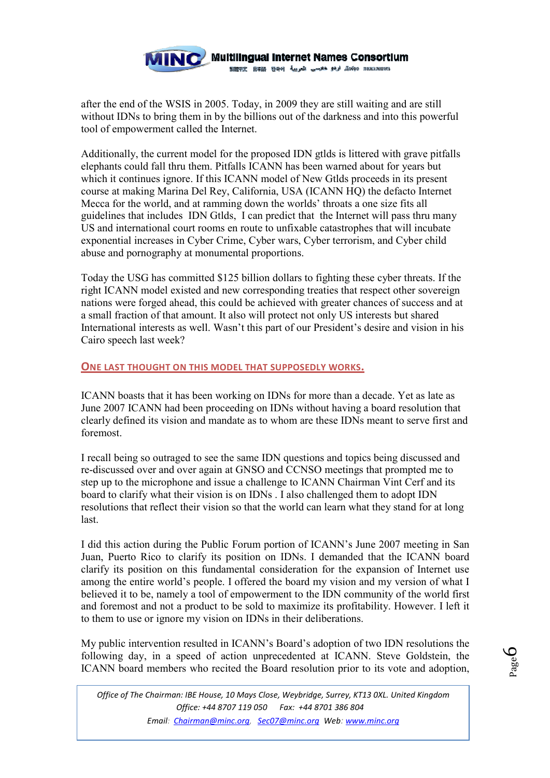

after the end of the WSIS in 2005. Today, in 2009 they are still waiting and are still without IDNs to bring them in by the billions out of the darkness and into this powerful tool of empowerment called the Internet.

Additionally, the current model for the proposed IDN gtlds is littered with grave pitfalls elephants could fall thru them. Pitfalls ICANN has been warned about for years but which it continues ignore. If this ICANN model of New Gtlds proceeds in its present course at making Marina Del Rey, California, USA (ICANN HQ) the defacto Internet Mecca for the world, and at ramming down the worlds' throats a one size fits all guidelines that includes IDN Gtlds, I can predict that the Internet will pass thru many US and international court rooms en route to unfixable catastrophes that will incubate exponential increases in Cyber Crime, Cyber wars, Cyber terrorism, and Cyber child abuse and pornography at monumental proportions.

Today the USG has committed \$125 billion dollars to fighting these cyber threats. If the right ICANN model existed and new corresponding treaties that respect other sovereign nations were forged ahead, this could be achieved with greater chances of success and at a small fraction of that amount. It also will protect not only US interests but shared International interests as well. Wasn't this part of our President's desire and vision in his Cairo speech last week?

#### **ONE LAST THOUGHT ON THIS MODEL THAT SUPPOSEDLY WORKS.**

ICANN boasts that it has been working on IDNs for more than a decade. Yet as late as June 2007 ICANN had been proceeding on IDNs without having a board resolution that clearly defined its vision and mandate as to whom are these IDNs meant to serve first and foremost.

I recall being so outraged to see the same IDN questions and topics being discussed and re-discussed over and over again at GNSO and CCNSO meetings that prompted me to step up to the microphone and issue a challenge to ICANN Chairman Vint Cerf and its board to clarify what their vision is on IDNs . I also challenged them to adopt IDN resolutions that reflect their vision so that the world can learn what they stand for at long last.

I did this action during the Public Forum portion of ICANN's June 2007 meeting in San Juan, Puerto Rico to clarify its position on IDNs. I demanded that the ICANN board clarify its position on this fundamental consideration for the expansion of Internet use among the entire world's people. I offered the board my vision and my version of what I believed it to be, namely a tool of empowerment to the IDN community of the world first and foremost and not a product to be sold to maximize its profitability. However. I left it to them to use or ignore my vision on IDNs in their deliberations.

My public intervention resulted in ICANN's Board's adoption of two IDN resolutions the following day, in a speed of action unprecedented at ICANN. Steve Goldstein, the ICANN board members who recited the Board resolution prior to its vote and adoption,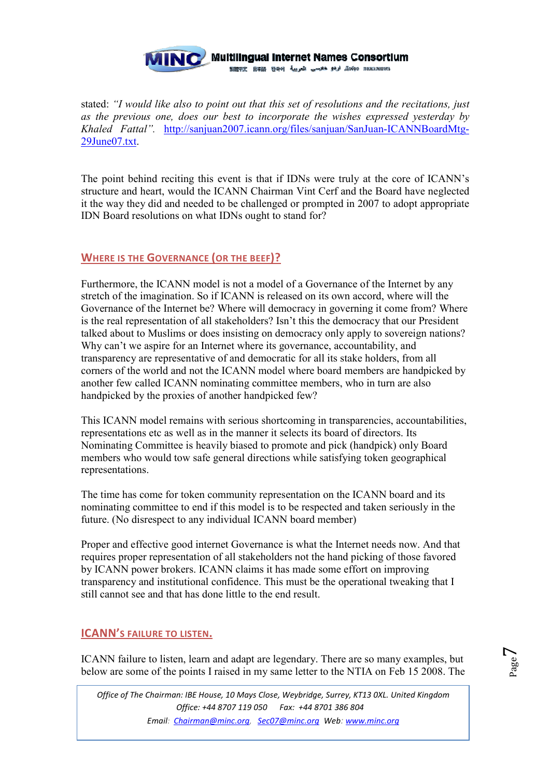

stated: *"I would like also to point out that this set of resolutions and the recitations, just as the previous one, does our best to incorporate the wishes expressed yesterday by Khaled Fattal".* http://sanjuan2007.icann.org/files/sanjuan/SanJuan-ICANNBoardMtg-29June07.txt.

The point behind reciting this event is that if IDNs were truly at the core of ICANN's structure and heart, would the ICANN Chairman Vint Cerf and the Board have neglected it the way they did and needed to be challenged or prompted in 2007 to adopt appropriate IDN Board resolutions on what IDNs ought to stand for?

## **WHERE IS THE GOVERNANCE (OR THE BEEF)?**

Furthermore, the ICANN model is not a model of a Governance of the Internet by any stretch of the imagination. So if ICANN is released on its own accord, where will the Governance of the Internet be? Where will democracy in governing it come from? Where is the real representation of all stakeholders? Isn't this the democracy that our President talked about to Muslims or does insisting on democracy only apply to sovereign nations? Why can't we aspire for an Internet where its governance, accountability, and transparency are representative of and democratic for all its stake holders, from all corners of the world and not the ICANN model where board members are handpicked by another few called ICANN nominating committee members, who in turn are also handpicked by the proxies of another handpicked few?

This ICANN model remains with serious shortcoming in transparencies, accountabilities, representations etc as well as in the manner it selects its board of directors. Its Nominating Committee is heavily biased to promote and pick (handpick) only Board members who would tow safe general directions while satisfying token geographical representations.

The time has come for token community representation on the ICANN board and its nominating committee to end if this model is to be respected and taken seriously in the future. (No disrespect to any individual ICANN board member)

Proper and effective good internet Governance is what the Internet needs now. And that requires proper representation of all stakeholders not the hand picking of those favored by ICANN power brokers. ICANN claims it has made some effort on improving transparency and institutional confidence. This must be the operational tweaking that I still cannot see and that has done little to the end result.

# **ICANN'S FAILURE TO LISTEN.**

ICANN failure to listen, learn and adapt are legendary. There are so many examples, but below are some of the points I raised in my same letter to the NTIA on Feb 15 2008. The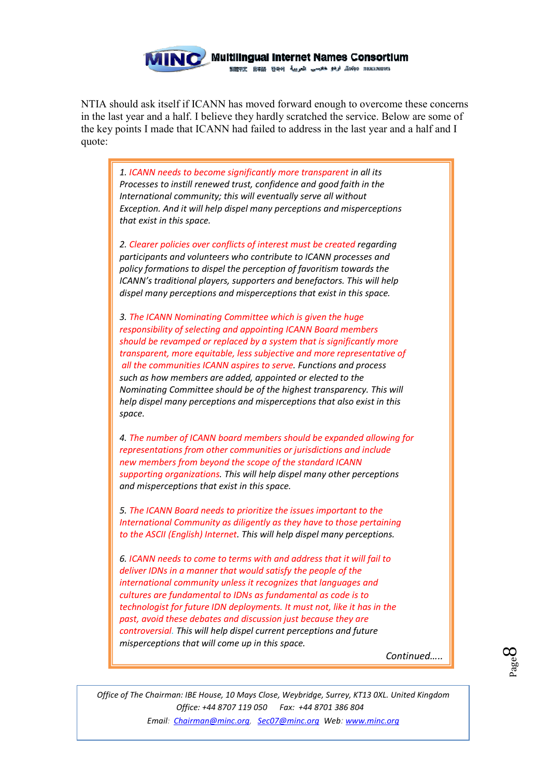

NTIA should ask itself if ICANN has moved forward enough to overcome these concerns in the last year and a half. I believe they hardly scratched the service. Below are some of the key points I made that ICANN had failed to address in the last year and a half and I quote:

*1. ICANN needs to become significantly more transparent in all its Processes to instill renewed trust, confidence and good faith in the International community; this will eventually serve all without Exception. And it will help dispel many perceptions and misperceptions that exist in this space.* 

*2. Clearer policies over conflicts of interest must be created regarding participants and volunteers who contribute to ICANN processes and policy formations to dispel the perception of favoritism towards the ICANN's traditional players, supporters and benefactors. This will help dispel many perceptions and misperceptions that exist in this space.* 

*3. The ICANN Nominating Committee which is given the huge responsibility of selecting and appointing ICANN Board members should be revamped or replaced by a system that is significantly more transparent, more equitable, less subjective and more representative of all the communities ICANN aspires to serve. Functions and process such as how members are added, appointed or elected to the Nominating Committee should be of the highest transparency. This will help dispel many perceptions and misperceptions that also exist in this space.* 

*4. The number of ICANN board members should be expanded allowing for representations from other communities or jurisdictions and include new members from beyond the scope of the standard ICANN supporting organizations. This will help dispel many other perceptions and misperceptions that exist in this space.* 

*5. The ICANN Board needs to prioritize the issues important to the International Community as diligently as they have to those pertaining to the ASCII (English) Internet. This will help dispel many perceptions.* 

*6. ICANN needs to come to terms with and address that it will fail to deliver IDNs in a manner that would satisfy the people of the international community unless it recognizes that languages and cultures are fundamental to IDNs as fundamental as code is to technologist for future IDN deployments. It must not, like it has in the past, avoid these debates and discussion just because they are controversial. This will help dispel current perceptions and future misperceptions that will come up in this space.* 

*Continued…..*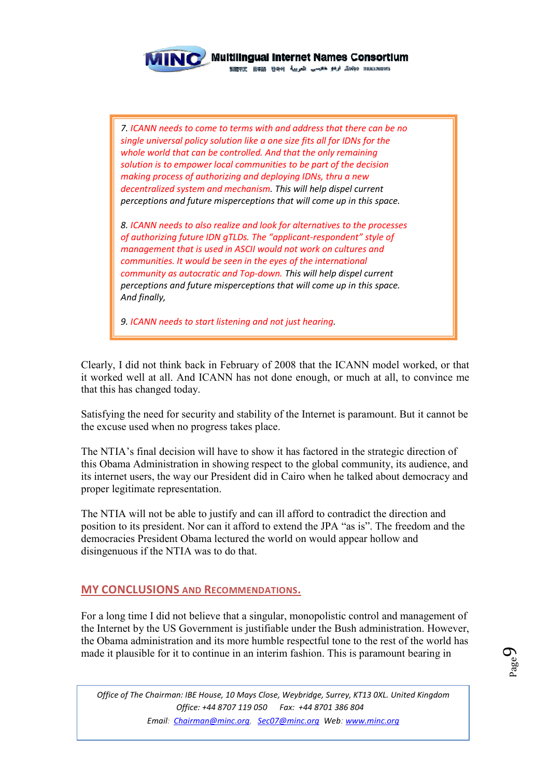

/ Multilingual Internet Names Consortium

gen пожаловать و بالو هادسي المربية (مجاز добро пожаловать

*7. ICANN needs to come to terms with and address that there can be no single universal policy solution like a one size fits all for IDNs for the whole world that can be controlled. And that the only remaining solution is to empower local communities to be part of the decision making process of authorizing and deploying IDNs, thru a new decentralized system and mechanism. This will help dispel current perceptions and future misperceptions that will come up in this space.* 

*8. ICANN needs to also realize and look for alternatives to the processes of authorizing future IDN gTLDs. The "applicant-respondent" style of management that is used in ASCII would not work on cultures and communities. It would be seen in the eyes of the international community as autocratic and Top-down. This will help dispel current perceptions and future misperceptions that will come up in this space. And finally,* 

*9. ICANN needs to start listening and not just hearing.* 

Clearly, I did not think back in February of 2008 that the ICANN model worked, or that it worked well at all. And ICANN has not done enough, or much at all, to convince me that this has changed today.

Satisfying the need for security and stability of the Internet is paramount. But it cannot be the excuse used when no progress takes place.

The NTIA's final decision will have to show it has factored in the strategic direction of this Obama Administration in showing respect to the global community, its audience, and its internet users, the way our President did in Cairo when he talked about democracy and proper legitimate representation.

The NTIA will not be able to justify and can ill afford to contradict the direction and position to its president. Nor can it afford to extend the JPA "as is". The freedom and the democracies President Obama lectured the world on would appear hollow and disingenuous if the NTIA was to do that.

# **MY CONCLUSIONS AND RECOMMENDATIONS.**

For a long time I did not believe that a singular, monopolistic control and management of the Internet by the US Government is justifiable under the Bush administration. However, the Obama administration and its more humble respectful tone to the rest of the world has made it plausible for it to continue in an interim fashion. This is paramount bearing in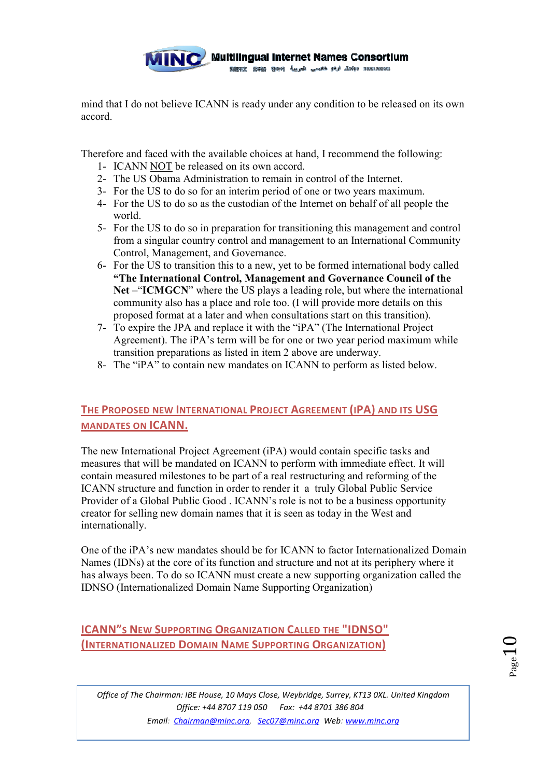

mind that I do not believe ICANN is ready under any condition to be released on its own accord.

Therefore and faced with the available choices at hand, I recommend the following:

- 1- ICANN NOT be released on its own accord.
- 2- The US Obama Administration to remain in control of the Internet.
- 3- For the US to do so for an interim period of one or two years maximum.
- 4- For the US to do so as the custodian of the Internet on behalf of all people the world.
- 5- For the US to do so in preparation for transitioning this management and control from a singular country control and management to an International Community Control, Management, and Governance.
- 6- For the US to transition this to a new, yet to be formed international body called **"The International Control, Management and Governance Council of the Net** –"**ICMGCN**" where the US plays a leading role, but where the international community also has a place and role too. (I will provide more details on this proposed format at a later and when consultations start on this transition).
- 7- To expire the JPA and replace it with the "iPA" (The International Project Agreement). The iPA's term will be for one or two year period maximum while transition preparations as listed in item 2 above are underway.
- 8- The "iPA" to contain new mandates on ICANN to perform as listed below.

# **THE PROPOSED NEW INTERNATIONAL PROJECT AGREEMENT (IPA) AND ITS USG MANDATES ON ICANN.**

The new International Project Agreement (iPA) would contain specific tasks and measures that will be mandated on ICANN to perform with immediate effect. It will contain measured milestones to be part of a real restructuring and reforming of the ICANN structure and function in order to render it a truly Global Public Service Provider of a Global Public Good . ICANN's role is not to be a business opportunity creator for selling new domain names that it is seen as today in the West and internationally.

One of the iPA's new mandates should be for ICANN to factor Internationalized Domain Names (IDNs) at the core of its function and structure and not at its periphery where it has always been. To do so ICANN must create a new supporting organization called the IDNSO (Internationalized Domain Name Supporting Organization)

# **ICANN"S NEW SUPPORTING ORGANIZATION CALLED THE "IDNSO" (INTERNATIONALIZED DOMAIN NAME SUPPORTING ORGANIZATION)**

 $1\,{\rm s_{\rm g}}$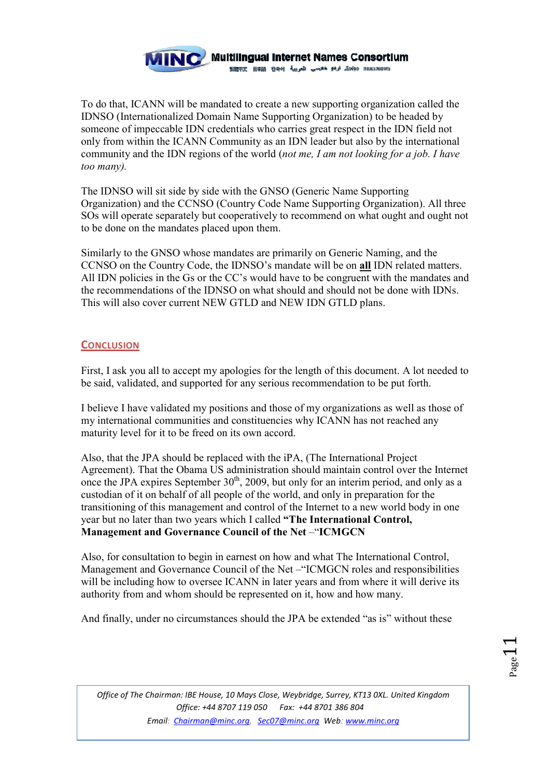

To do that, ICANN will be mandated to create a new supporting organization called the IDNSO (Internationalized Domain Name Supporting Organization) to be headed by someone of impeccable IDN credentials who carries great respect in the IDN field not only from within the ICANN Community as an IDN leader but also by the international community and the IDN regions of the world (*not me, I am not looking for a job. I have too many).* 

The IDNSO will sit side by side with the GNSO (Generic Name Supporting Organization) and the CCNSO (Country Code Name Supporting Organization). All three SOs will operate separately but cooperatively to recommend on what ought and ought not to be done on the mandates placed upon them.

Similarly to the GNSO whose mandates are primarily on Generic Naming, and the CCNSO on the Country Code, the IDNSO's mandate will be on **all** IDN related matters. All IDN policies in the Gs or the CC's would have to be congruent with the mandates and the recommendations of the IDNSO on what should and should not be done with IDNs. This will also cover current NEW GTLD and NEW IDN GTLD plans.

## **CONCLUSION**

First, I ask you all to accept my apologies for the length of this document. A lot needed to be said, validated, and supported for any serious recommendation to be put forth.

I believe I have validated my positions and those of my organizations as well as those of my international communities and constituencies why ICANN has not reached any maturity level for it to be freed on its own accord.

Also, that the JPA should be replaced with the iPA, (The International Project Agreement). That the Obama US administration should maintain control over the Internet once the JPA expires September  $30<sup>th</sup>$ , 2009, but only for an interim period, and only as a custodian of it on behalf of all people of the world, and only in preparation for the transitioning of this management and control of the Internet to a new world body in one year but no later than two years which I called **"The International Control, Management and Governance Council of the Net – "ICMGCN"** 

Also, for consultation to begin in earnest on how and what The International Control, Management and Governance Council of the Net –"ICMGCN roles and responsibilities will be including how to oversee ICANN in later years and from where it will derive its authority from and whom should be represented on it, how and how many.

And finally, under no circumstances should the JPA be extended "as is" without these